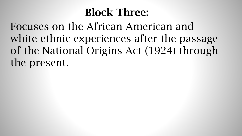# Block Three:

Focuses on the African-American and white ethnic experiences after the passage of the National Origins Act (1924) through the present.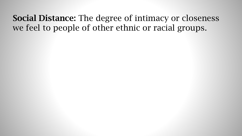#### Social Distance: The degree of intimacy or closeness we feel to people of other ethnic or racial groups.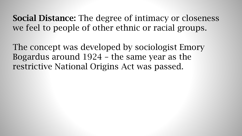Social Distance: The degree of intimacy or closeness we feel to people of other ethnic or racial groups.

The concept was developed by sociologist Emory Bogardus around 1924 – the same year as the restrictive National Origins Act was passed.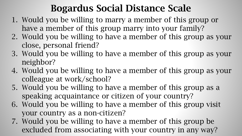## Bogardus Social Distance Scale

- 1. Would you be willing to marry a member of this group or have a member of this group marry into your family?
- 2. Would you be willing to have a member of this group as your close, personal friend?
- 3. Would you be willing to have a member of this group as your neighbor?
- 4. Would you be willing to have a member of this group as your colleague at work/school?
- 5. Would you be willing to have a member of this group as a speaking acquaintance or citizen of your country?
- 6. Would you be willing to have a member of this group visit your country as a non-citizen?
- 7. Would you be willing to have a member of this group be excluded from associating with your country in any way?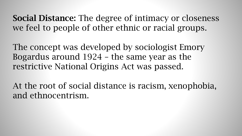Social Distance: The degree of intimacy or closeness we feel to people of other ethnic or racial groups.

The concept was developed by sociologist Emory Bogardus around 1924 – the same year as the restrictive National Origins Act was passed.

At the root of social distance is racism, xenophobia, and ethnocentrism.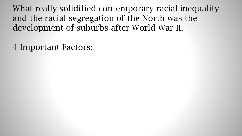4 Important Factors: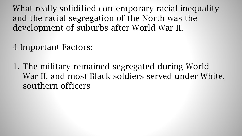## 4 Important Factors:

1. The military remained segregated during World War II, and most Black soldiers served under White, southern officers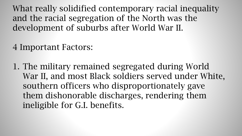## 4 Important Factors:

1. The military remained segregated during World War II, and most Black soldiers served under White, southern officers who disproportionately gave them dishonorable discharges, rendering them ineligible for G.I. benefits.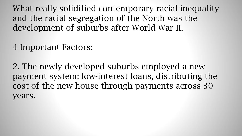#### 4 Important Factors:

2. The newly developed suburbs employed a new payment system: low-interest loans, distributing the cost of the new house through payments across 30 years.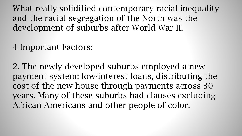#### 4 Important Factors:

2. The newly developed suburbs employed a new payment system: low-interest loans, distributing the cost of the new house through payments across 30 years. Many of these suburbs had clauses excluding African Americans and other people of color.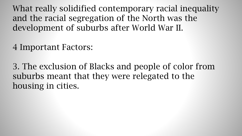#### 4 Important Factors:

3. The exclusion of Blacks and people of color from suburbs meant that they were relegated to the housing in cities.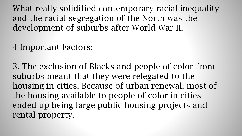#### 4 Important Factors:

3. The exclusion of Blacks and people of color from suburbs meant that they were relegated to the housing in cities. Because of urban renewal, most of the housing available to people of color in cities ended up being large public housing projects and rental property.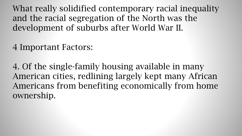#### 4 Important Factors:

4. Of the single-family housing available in many American cities, redlining largely kept many African Americans from benefiting economically from home ownership.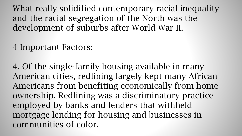#### 4 Important Factors:

4. Of the single-family housing available in many American cities, redlining largely kept many African Americans from benefiting economically from home ownership. Redlining was a discriminatory practice employed by banks and lenders that withheld mortgage lending for housing and businesses in communities of color.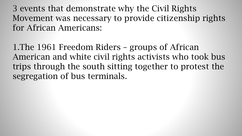1.The 1961 Freedom Riders – groups of African American and white civil rights activists who took bus trips through the south sitting together to protest the segregation of bus terminals.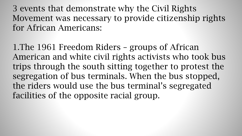1.The 1961 Freedom Riders – groups of African American and white civil rights activists who took bus trips through the south sitting together to protest the segregation of bus terminals. When the bus stopped, the riders would use the bus terminal's segregated facilities of the opposite racial group.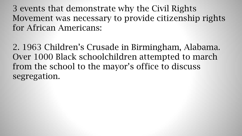2. 1963 Children's Crusade in Birmingham, Alabama. Over 1000 Black schoolchildren attempted to march from the school to the mayor's office to discuss segregation.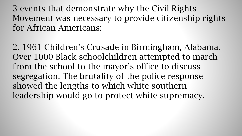2. 1961 Children's Crusade in Birmingham, Alabama. Over 1000 Black schoolchildren attempted to march from the school to the mayor's office to discuss segregation. The brutality of the police response showed the lengths to which white southern leadership would go to protect white supremacy.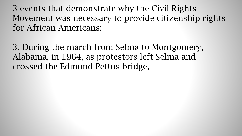3. During the march from Selma to Montgomery, Alabama, in 1964, as protestors left Selma and crossed the Edmund Pettus bridge,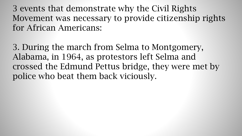3. During the march from Selma to Montgomery, Alabama, in 1964, as protestors left Selma and crossed the Edmund Pettus bridge, they were met by police who beat them back viciously.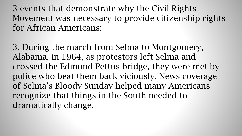3. During the march from Selma to Montgomery, Alabama, in 1964, as protestors left Selma and crossed the Edmund Pettus bridge, they were met by police who beat them back viciously. News coverage of Selma's Bloody Sunday helped many Americans recognize that things in the South needed to dramatically change.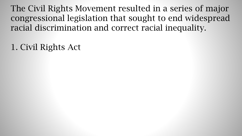1. Civil Rights Act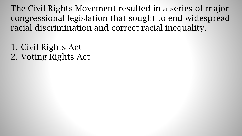1. Civil Rights Act 2. Voting Rights Act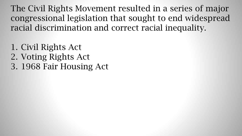- 1. Civil Rights Act
- 2. Voting Rights Act
- 3. 1968 Fair Housing Act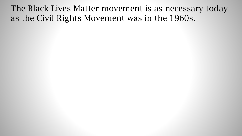The Black Lives Matter movement is as necessary today as the Civil Rights Movement was in the 1960s.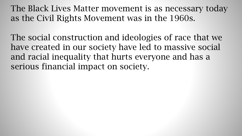The Black Lives Matter movement is as necessary today as the Civil Rights Movement was in the 1960s.

The social construction and ideologies of race that we have created in our society have led to massive social and racial inequality that hurts everyone and has a serious financial impact on society.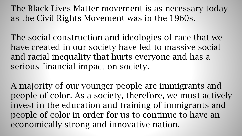The Black Lives Matter movement is as necessary today as the Civil Rights Movement was in the 1960s.

The social construction and ideologies of race that we have created in our society have led to massive social and racial inequality that hurts everyone and has a serious financial impact on society.

A majority of our younger people are immigrants and people of color. As a society, therefore, we must actively invest in the education and training of immigrants and people of color in order for us to continue to have an economically strong and innovative nation.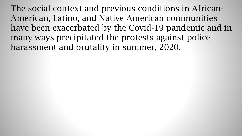The social context and previous conditions in African-American, Latino, and Native American communities have been exacerbated by the Covid-19 pandemic and in many ways precipitated the protests against police harassment and brutality in summer, 2020.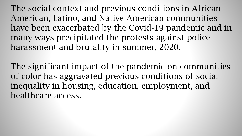The social context and previous conditions in African-American, Latino, and Native American communities have been exacerbated by the Covid-19 pandemic and in many ways precipitated the protests against police harassment and brutality in summer, 2020.

The significant impact of the pandemic on communities of color has aggravated previous conditions of social inequality in housing, education, employment, and healthcare access.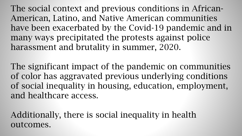The social context and previous conditions in African-American, Latino, and Native American communities have been exacerbated by the Covid-19 pandemic and in many ways precipitated the protests against police harassment and brutality in summer, 2020.

The significant impact of the pandemic on communities of color has aggravated previous underlying conditions of social inequality in housing, education, employment, and healthcare access.

Additionally, there is social inequality in health outcomes.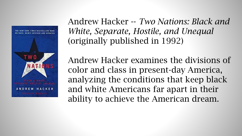

Andrew Hacker -- *Two Nations: Black and White, Separate, Hostile, and Unequal*  (originally published in 1992)

Andrew Hacker examines the divisions of color and class in present-day America, analyzing the conditions that keep black and white Americans far apart in their ability to achieve the American dream.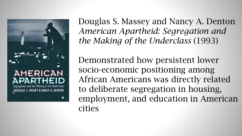

Douglas S. Massey and Nancy A. Denton *American Apartheid: Segregation and the Making of the Underclass* (1993)

Demonstrated how persistent lower socio-economic positioning among African Americans was directly related to deliberate segregation in housing, employment, and education in American cities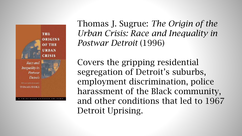

Thomas J. Sugrue: *The Origin of the Urban Crisis: Race and Inequality in Postwar Detroit* (1996)

Covers the gripping residential segregation of Detroit's suburbs, employment discrimination, police harassment of the Black community, and other conditions that led to 1967 Detroit Uprising.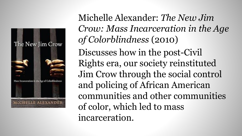

Michelle Alexander: *The New Jim Crow: Mass Incarceration in the Age of Colorblindness* (2010) Discusses how in the post-Civil Rights era, our society reinstituted Jim Crow through the social control and policing of African American communities and other communities of color, which led to mass incarceration.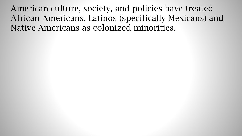American culture, society, and policies have treated African Americans, Latinos (specifically Mexicans) and Native Americans as colonized minorities.